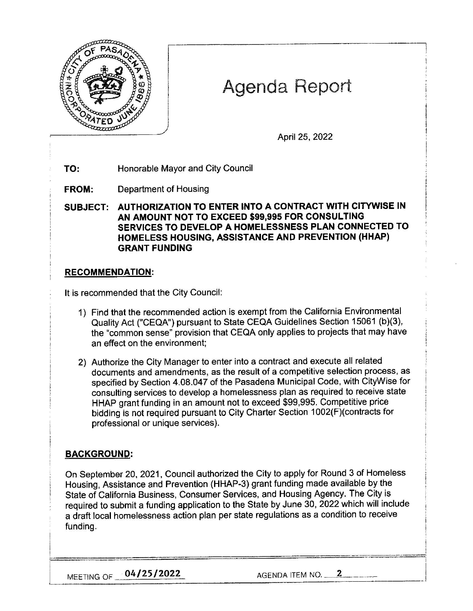

# Agenda Report

April 25, 2022

**TO:** Honorable Mayor and City Council

**FROM:** Department of Housing

**SUBJECT: AUTHORIZATION TO ENTER INTO A CONTRACT WITH CITYWISE IN AN AMOUNT NOT TO EXCEED \$991995 FOR CONSULTING SERVICES TO DEVELOP A HOMELESSNESS PLAN CONNECTED TO HOMELESS HOUSING, ASSISTANCE AND PREVENTION (HHAP) GRANT FUNDING** 

## **RECOMMENDATION:**

It is recommended that the City Council:

- 1) Find that the recommended action is exempt from the California Environmental Quality Act ("CEQA") pursuant to State CEQA Guidelines Section 15061 (b)(3), the "common sense" provision that CEQA only applies to projects that may have an effect on the environment;
- 2) Authorize the City Manager to enter into a contract and execute all related documents and amendments, as the result of a competitive selection process, as specified by Section 4.08.047 of the Pasadena Municipal Code, with CityWise for consulting services to develop a homelessness plan as required to receive state HHAP grant funding in an amount not to exceed \$99,995. Competitive price bidding is not required pursuant to City Charter Section 1002(F)(contracts for professional or unique services).

## **BACKGROUND:**

On September 20, 2021, Council authorized the City to apply for Round 3 of Homeless Housing, Assistance and Prevention (HHAP-3) grant funding made available by the State of California Business, Consumer Services, and Housing Agency. The City is required to submit a funding application to the State by June 30, 2022 which will include a draft local homelessness action plan per state regulations as a condition to receive funding.

MEETING OF  $\begin{array}{|l|}\n\hline\n04/25/2022\n\end{array}$  AGENDA ITEM NO.  $\begin{array}{|l|}\n\hline\n2\n\end{array}$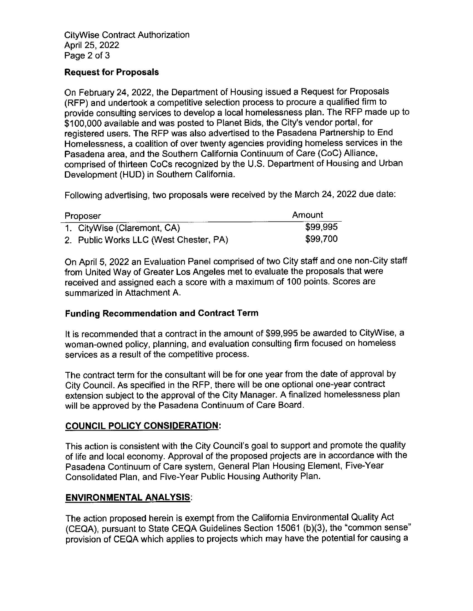#### **Request for Proposals**

On February 24, 2022, the Department of Housing issued a Request for Proposals (RFP) and undertook a competitive selection process to procure a qualified firm to provide consulting services to develop a local homelessness plan. The RFP made up to \$100,000 available and was posted to Planet Bids, the City's vendor portal, for registered users. The RFP was also advertised to the Pasadena Partnership to End Homelessness, a coalition of over twenty agencies providing homeless services in the Pasadena area, and the Southern California Continuum of Care (CoC) Alliance, comprised of thirteen CoCs recognized by the U.S. Department of Housing and Urban Development (HUD) in Southern California.

Following advertising, two proposals were received by the March 24, 2022 due date:

| Proposer |                                        | Amount   |
|----------|----------------------------------------|----------|
|          | 1. CityWise (Claremont, CA)            | \$99,995 |
|          | 2. Public Works LLC (West Chester, PA) | \$99,700 |

On April 5, 2022 an Evaluation Panel comprised of two City staff and one non-City staff from United Way of Greater Los Angeles met to evaluate the proposals that were received and assigned each a score with a maximum of 100 points. Scores are summarized in Attachment A.

## **Funding Recommendation and Contract Term**

It is recommended that a contract in the amount of \$99,995 be awarded to CityWise, a woman-owned policy, planning, and evaluation consulting firm focused on homeless services as a result of the competitive process.

The contract term for the consultant will be for one year from the date of approval by City Council. As specified in the RFP, there will be one optional one-year contract extension subject to the approval of the City Manager. A finalized homelessness plan will be approved by the Pasadena Continuum of Care Board.

## **COUNCIL POLICY CONSIDERATION:**

This action is consistent with the City Council's goal to support and promote the quality of life and local economy. Approval of the proposed projects are in accordance with the Pasadena Continuum of Care system, General Plan Housing Element, Five-Year Consolidated Plan, and Five-Year Public Housing Authority Plan.

#### **ENVIRONMENTAL ANALYSIS:**

The action proposed herein is exempt from the California Environmental Quality Act (CEQA), pursuant to State CEQA Guidelines Section 15061 (b)(3), the "common sense" provision of CEQA which applies to projects which may have the potential for causing a